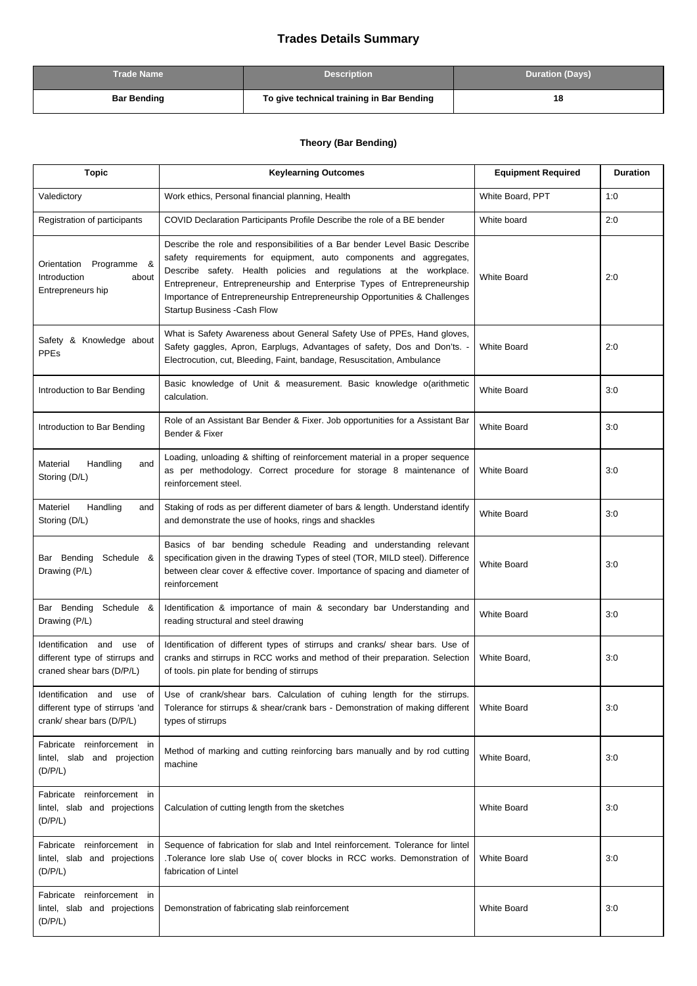## **Trades Details Summary**

| <b>Trade Name</b>  | <b>Description</b>                        | <b>Duration (Days)</b> |
|--------------------|-------------------------------------------|------------------------|
| <b>Bar Bending</b> | To give technical training in Bar Bending | 18                     |

## **Theory (Bar Bending)**

| <b>Topic</b>                                                                                | <b>Keylearning Outcomes</b>                                                                                                                                                                                                                                                                                                                                                                                            | <b>Equipment Required</b> | <b>Duration</b> |
|---------------------------------------------------------------------------------------------|------------------------------------------------------------------------------------------------------------------------------------------------------------------------------------------------------------------------------------------------------------------------------------------------------------------------------------------------------------------------------------------------------------------------|---------------------------|-----------------|
| Valedictory                                                                                 | Work ethics, Personal financial planning, Health                                                                                                                                                                                                                                                                                                                                                                       | White Board, PPT          | 1:0             |
| Registration of participants                                                                | COVID Declaration Participants Profile Describe the role of a BE bender                                                                                                                                                                                                                                                                                                                                                | White board               | 2:0             |
| Orientation Programme &<br>Introduction<br>about<br>Entrepreneurs hip                       | Describe the role and responsibilities of a Bar bender Level Basic Describe<br>safety requirements for equipment, auto components and aggregates,<br>Describe safety. Health policies and regulations at the workplace.<br>Entrepreneur, Entrepreneurship and Enterprise Types of Entrepreneurship<br>Importance of Entrepreneurship Entrepreneurship Opportunities & Challenges<br><b>Startup Business -Cash Flow</b> | <b>White Board</b>        | 2:0             |
| Safety & Knowledge about<br><b>PPEs</b>                                                     | What is Safety Awareness about General Safety Use of PPEs, Hand gloves,<br>Safety gaggles, Apron, Earplugs, Advantages of safety, Dos and Don'ts. -<br>Electrocution, cut, Bleeding, Faint, bandage, Resuscitation, Ambulance                                                                                                                                                                                          | <b>White Board</b>        | 2:0             |
| Introduction to Bar Bending                                                                 | Basic knowledge of Unit & measurement. Basic knowledge o(arithmetic<br>calculation.                                                                                                                                                                                                                                                                                                                                    | <b>White Board</b>        | 3:0             |
| Introduction to Bar Bending                                                                 | Role of an Assistant Bar Bender & Fixer. Job opportunities for a Assistant Bar<br>Bender & Fixer                                                                                                                                                                                                                                                                                                                       | <b>White Board</b>        | 3:0             |
| Material<br>Handling<br>and<br>Storing (D/L)                                                | Loading, unloading & shifting of reinforcement material in a proper sequence<br>as per methodology. Correct procedure for storage 8 maintenance of<br>reinforcement steel.                                                                                                                                                                                                                                             | <b>White Board</b>        | 3:0             |
| Materiel<br>Handling<br>and<br>Storing (D/L)                                                | Staking of rods as per different diameter of bars & length. Understand identify<br>and demonstrate the use of hooks, rings and shackles                                                                                                                                                                                                                                                                                | <b>White Board</b>        | 3:0             |
| Bar Bending Schedule &<br>Drawing (P/L)                                                     | Basics of bar bending schedule Reading and understanding relevant<br>specification given in the drawing Types of steel (TOR, MILD steel). Difference<br>between clear cover & effective cover. Importance of spacing and diameter of<br>reinforcement                                                                                                                                                                  | <b>White Board</b>        | 3:0             |
| Bar Bending<br>Schedule &<br>Drawing (P/L)                                                  | Identification & importance of main & secondary bar Understanding and<br>reading structural and steel drawing                                                                                                                                                                                                                                                                                                          | <b>White Board</b>        | 3:0             |
| Identification and use<br>of<br>different type of stirrups and<br>craned shear bars (D/P/L) | Identification of different types of stirrups and cranks/ shear bars. Use of<br>cranks and stirrups in RCC works and method of their preparation. Selection<br>of tools, pin plate for bending of stirrups                                                                                                                                                                                                             | White Board,              | 3:0             |
| Identification and use of<br>different type of stirrups 'and<br>crank/ shear bars (D/P/L)   | Use of crank/shear bars. Calculation of cuhing length for the stirrups.<br>Tolerance for stirrups & shear/crank bars - Demonstration of making different<br>types of stirrups                                                                                                                                                                                                                                          | <b>White Board</b>        | 3:0             |
| Fabricate reinforcement in<br>lintel, slab and projection<br>(D/P/L)                        | Method of marking and cutting reinforcing bars manually and by rod cutting<br>machine                                                                                                                                                                                                                                                                                                                                  | White Board,              | 3:0             |
| Fabricate reinforcement in<br>lintel, slab and projections<br>(D/P/L)                       | Calculation of cutting length from the sketches                                                                                                                                                                                                                                                                                                                                                                        | <b>White Board</b>        | 3:0             |
| Fabricate reinforcement in<br>lintel, slab and projections<br>(D/P/L)                       | Sequence of fabrication for slab and Intel reinforcement. Tolerance for lintel<br>.Tolerance lore slab Use o( cover blocks in RCC works. Demonstration of<br>fabrication of Lintel                                                                                                                                                                                                                                     | <b>White Board</b>        | 3:0             |
| Fabricate reinforcement in<br>lintel, slab and projections<br>(D/P/L)                       | Demonstration of fabricating slab reinforcement                                                                                                                                                                                                                                                                                                                                                                        | <b>White Board</b>        | 3:0             |